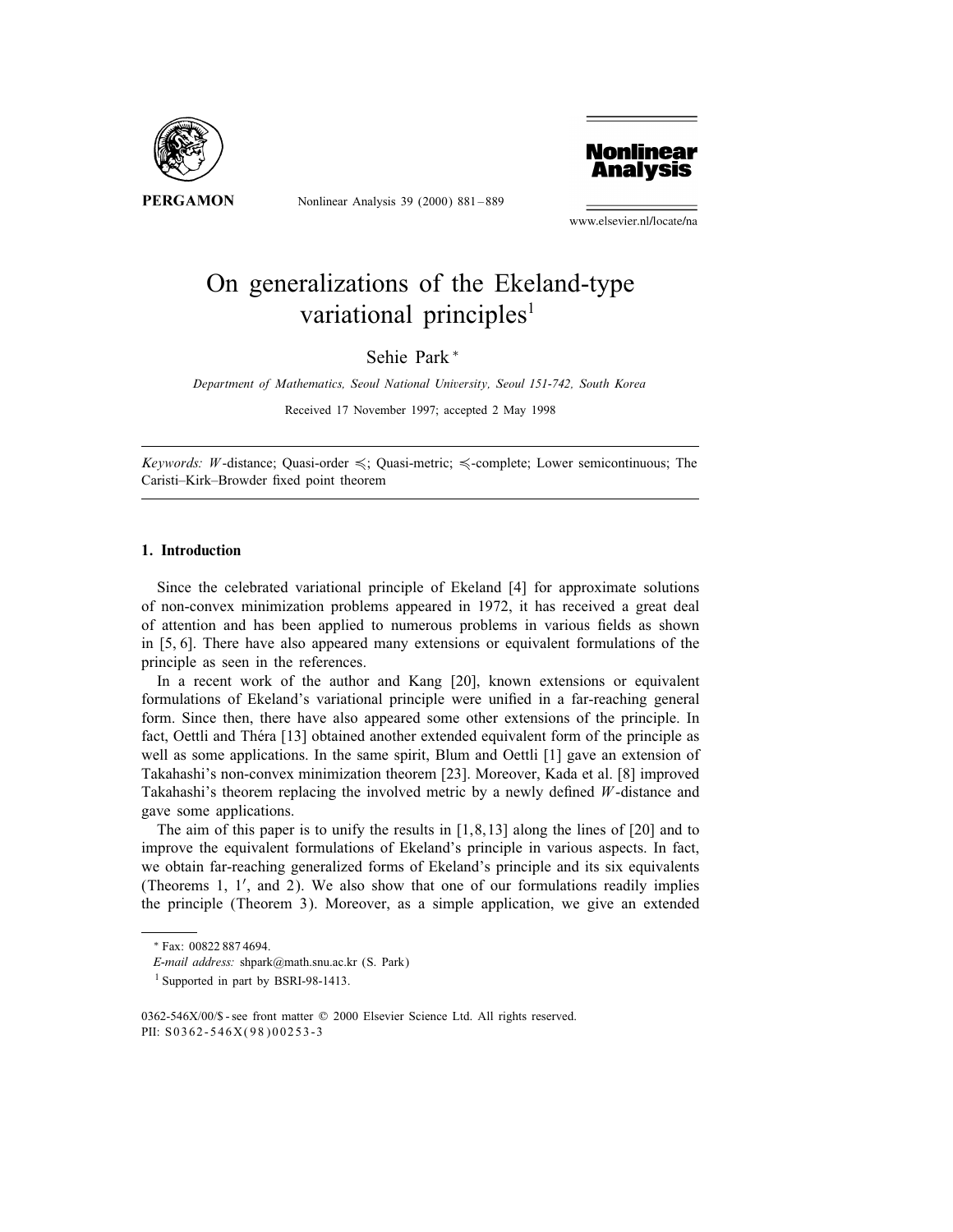

Nonlinear Analysis 39 (2000) 881 – 889



www.elsevier.nl/locate/na

# On generalizations of the Ekeland-type variational principles<sup>1</sup>

Sehie Park <sup>∗</sup>

Department of Mathematics, Seoul National University, Seoul 151-742, South Korea

Received 17 November 1997; accepted 2 May 1998

Keywords: W-distance; Quasi-order  $\leq$ ; Quasi-metric;  $\leq$ -complete; Lower semicontinuous; The Caristi-Kirk-Browder fixed point theorem

### 1. Introduction

Since the celebrated variational principle of Ekeland [4] for approximate solutions of non-convex minimization problems appeared in 1972, it has received a great deal of attention and has been applied to numerous problems in various fields as shown in [5, 6]. There have also appeared many extensions or equivalent formulations of the principle as seen in the references.

In a recent work of the author and Kang [20], known extensions or equivalent formulations of Ekeland's variational principle were unified in a far-reaching general form. Since then, there have also appeared some other extensions of the principle. In fact, Oettli and Théra [13] obtained another extended equivalent form of the principle as well as some applications. In the same spirit, Blum and Oettli [1] gave an extension of Takahashi's non-convex minimization theorem [23]. Moreover, Kada et al. [8] improved Takahashi's theorem replacing the involved metric by a newly defined  $W$ -distance and gave some applications.

The aim of this paper is to unify the results in [1,8,13] along the lines of [20] and to improve the equivalent formulations of Ekeland's principle in various aspects. In fact, we obtain far-reaching generalized forms of Ekeland's principle and its six equivalents (Theorems 1,  $1'$ , and 2). We also show that one of our formulations readily implies the principle (Theorem 3). Moreover, as a simple application, we give an extended

<sup>∗</sup> Fax: 00822 887 4694.

E-mail address: shpark@math.snu.ac.kr (S. Park)

<sup>&</sup>lt;sup>1</sup> Supported in part by BSRI-98-1413.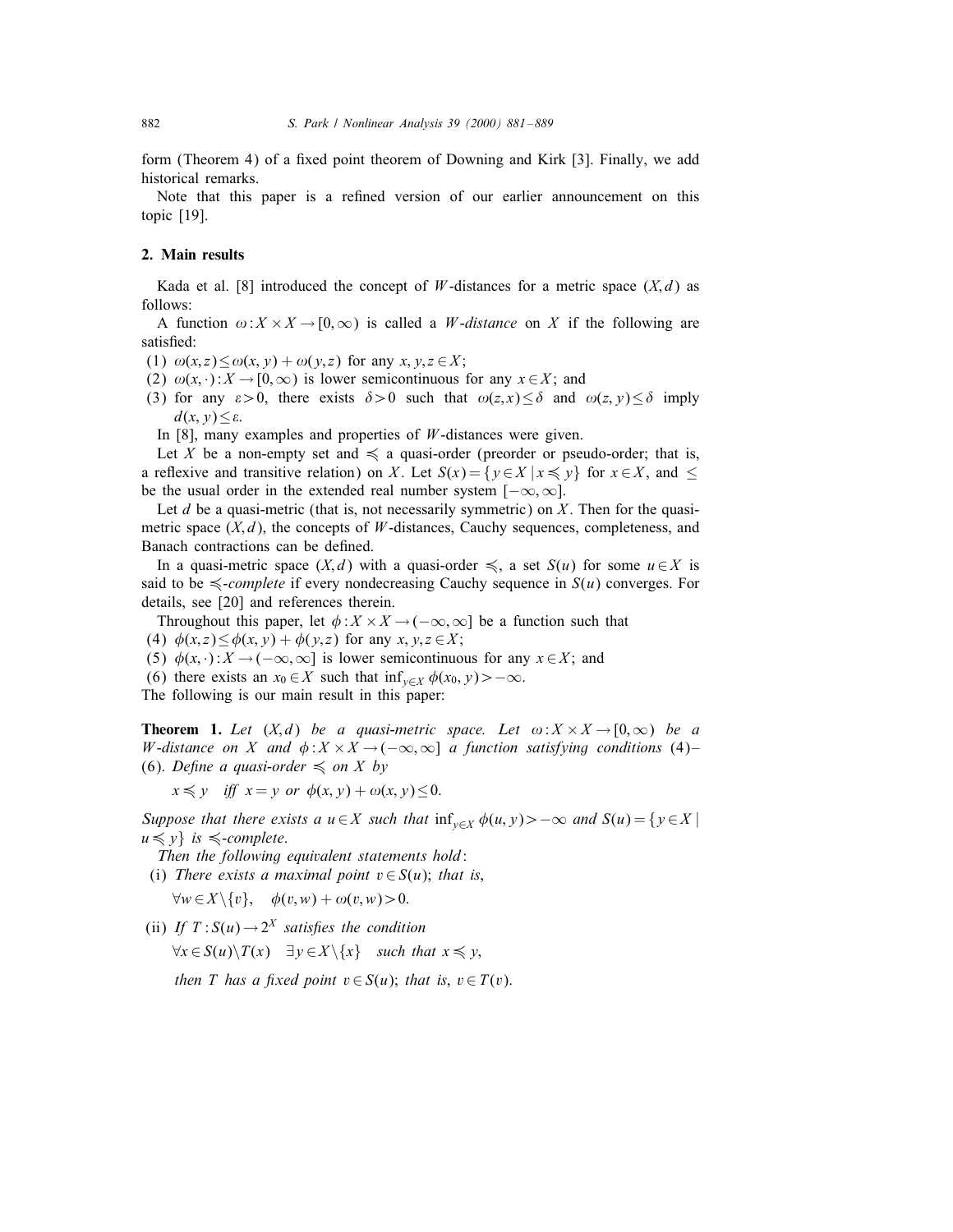form (Theorem 4) of a fixed point theorem of Downing and Kirk [3]. Finally, we add historical remarks.

Note that this paper is a refined version of our earlier announcement on this topic [19].

## 2. Main results

Kada et al. [8] introduced the concept of W-distances for a metric space  $(X,d)$  as follows:

A function  $\omega: X \times X \to [0,\infty)$  is called a *W*-distance on X if the following are satisfied:

(1)  $\omega(x, z) \leq \omega(x, y) + \omega(y, z)$  for any  $x, y, z \in X$ ;

- (2)  $\omega(x, \cdot) : X \to [0, \infty)$  is lower semicontinuous for any  $x \in X$ ; and
- (3) for any  $\varepsilon > 0$ , there exists  $\delta > 0$  such that  $\omega(z, x) \leq \delta$  and  $\omega(z, y) \leq \delta$  imply  $d(x, y) \leq \varepsilon$ .

In  $[8]$ , many examples and properties of *W*-distances were given.

Let X be a non-empty set and  $\leq$  a quasi-order (preorder or pseudo-order; that is, a reflexive and transitive relation) on X. Let  $S(x) = \{y \in X | x \leq y\}$  for  $x \in X$ , and  $\leq$ be the usual order in the extended real number system  $[-\infty, \infty]$ .

Let  $d$  be a quasi-metric (that is, not necessarily symmetric) on  $X$ . Then for the quasimetric space  $(X, d)$ , the concepts of W-distances, Cauchy sequences, completeness, and Banach contractions can be defined.

In a quasi-metric space  $(X,d)$  with a quasi-order  $\leq$ , a set  $S(u)$  for some  $u \in X$  is said to be  $\leq$ -*complete* if every nondecreasing Cauchy sequence in  $S(u)$  converges. For details, see [20] and references therein.

Throughout this paper, let  $\phi: X \times X \to (-\infty, \infty]$  be a function such that

(4)  $\phi(x, z) \leq \phi(x, y) + \phi(y, z)$  for any  $x, y, z \in X$ ;

(5)  $\phi(x, \cdot) : X \to (-\infty, \infty]$  is lower semicontinuous for any  $x \in X$ ; and

(6) there exists an  $x_0 \in X$  such that  $\inf_{y \in X} \phi(x_0, y) > -\infty$ .

The following is our main result in this paper:

**Theorem 1.** Let  $(X,d)$  be a quasi-metric space. Let  $\omega: X \times X \to [0,\infty)$  be a W-distance on X and  $\phi: X \times X \to (-\infty, \infty]$  a function satisfying conditions (4)-(6). Define a quasi-order  $\leq$  on X by

 $x \leq y$  iff  $x = y$  or  $\phi(x, y) + \omega(x, y) \leq 0.$ 

Suppose that there exists a  $u \in X$  such that  $\inf_{y \in X} \phi(u, y) > -\infty$  and  $S(u) = \{y \in X \mid$  $u \leqslant y$  is  $\leqslant$ -complete.

Then the following equivalent statements hold:

(i) There exists a maximal point  $v \in S(u)$ ; that is,

 $\forall w \in X \setminus \{v\}, \quad \phi(v, w) + \omega(v, w) > 0.$ 

(ii) If  $T: S(u) \to 2^X$  satisfies the condition

 $\forall x \in S(u) \backslash T(x) \quad \exists y \in X \backslash \{x\} \quad \text{such that } x \leq y,$ 

then T has a fixed point  $v \in S(u)$ ; that is,  $v \in T(v)$ .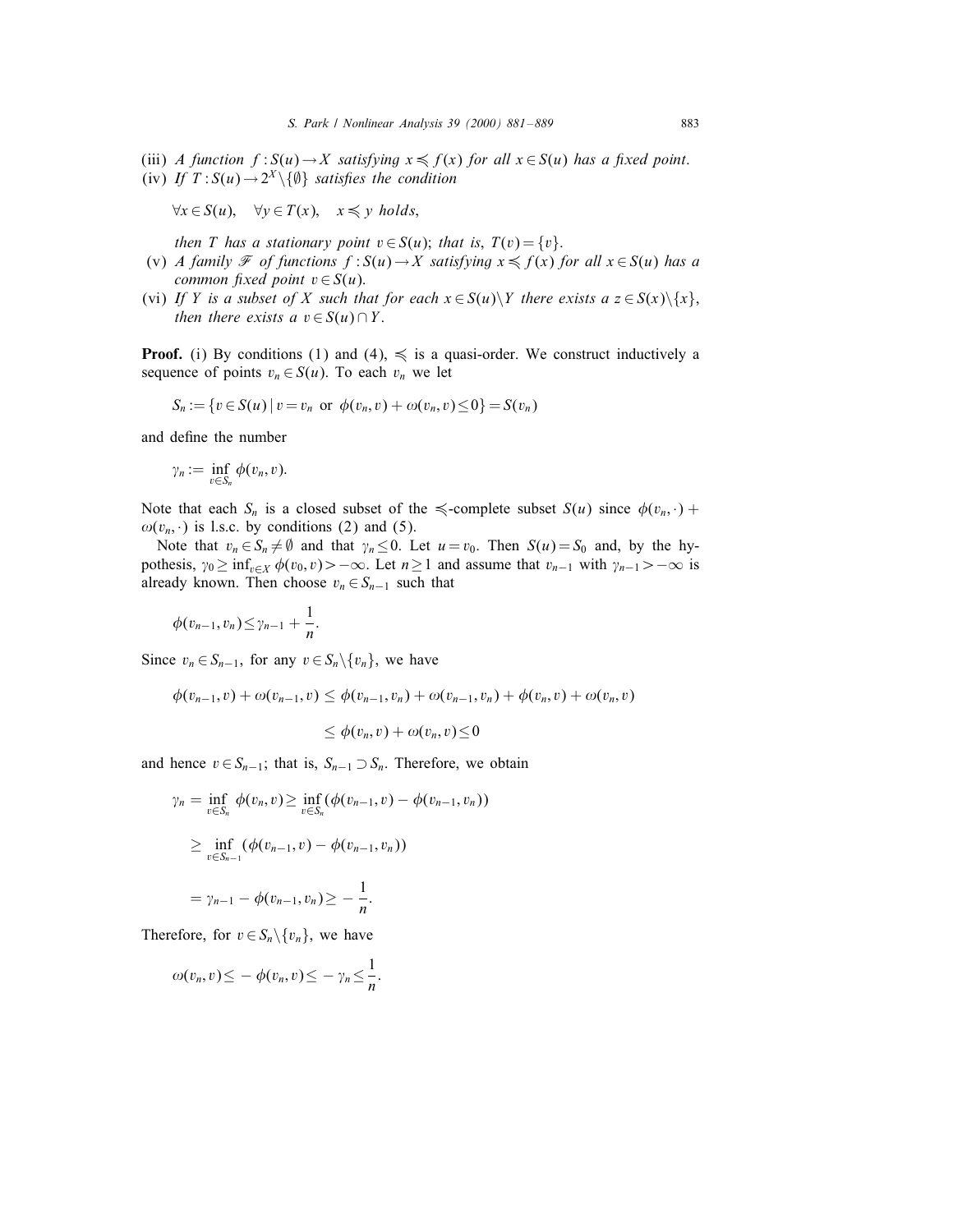(iii) A function  $f: S(u) \to X$  satisfying  $x \leq f(x)$  for all  $x \in S(u)$  has a fixed point. (iv) If  $T: S(u) \to 2^X \setminus \{ \emptyset \}$  satisfies the condition

$$
\forall x \in S(u), \quad \forall y \in T(x), \quad x \leq y \ holds,
$$

then T has a stationary point  $v \in S(u)$ ; that is,  $T(v) = \{v\}$ .

- (v) A family  $\mathcal F$  of functions  $f: S(u) \to X$  satisfying  $x \leq f(x)$  for all  $x \in S(u)$  has a common fixed point  $v \in S(u)$ .
- (vi) If Y is a subset of X such that for each  $x \in S(u) \backslash Y$  there exists  $a z \in S(x) \backslash \{x\}$ , then there exists a  $v \in S(u) \cap Y$ .

**Proof.** (i) By conditions (1) and (4),  $\leq$  is a quasi-order. We construct inductively a sequence of points  $v_n \in S(u)$ . To each  $v_n$  we let

$$
S_n := \{ v \in S(u) \mid v = v_n \text{ or } \phi(v_n, v) + \omega(v_n, v) \leq 0 \} = S(v_n)
$$

and define the number

$$
\gamma_n:=\inf_{v\in S_n}\phi(v_n,v).
$$

Note that each  $S_n$  is a closed subset of the  $\preccurlyeq$ -complete subset  $S(u)$  since  $\phi(v_n, \cdot)$  +  $\omega(v_n, \cdot)$  is l.s.c. by conditions (2) and (5).

Note that  $v_n \in S_n \neq \emptyset$  and that  $\gamma_n \leq 0$ . Let  $u = v_0$ . Then  $S(u) = S_0$  and, by the hypothesis,  $\gamma_0 \ge \inf_{v \in X} \phi(v_0, v) > -\infty$ . Let  $n \ge 1$  and assume that  $v_{n-1}$  with  $\gamma_{n-1} > -\infty$  is already known. Then choose  $v_n \text{ } \in S_{n-1}$  such that

$$
\phi(v_{n-1},v_n)\leq \gamma_{n-1}+\frac{1}{n}.
$$

Since  $v_n \in S_{n-1}$ , for any  $v \in S_n \backslash \{v_n\}$ , we have

$$
\phi(v_{n-1},v) + \omega(v_{n-1},v) \leq \phi(v_{n-1},v_n) + \omega(v_{n-1},v_n) + \phi(v_n,v) + \omega(v_n,v)
$$

$$
\leq \phi(v_n,v) + \omega(v_n,v) \leq 0
$$

and hence  $v \in S_{n-1}$ ; that is,  $S_{n-1} \supset S_n$ . Therefore, we obtain

$$
\gamma_n = \inf_{v \in S_n} \phi(v_n, v) \ge \inf_{v \in S_n} (\phi(v_{n-1}, v) - \phi(v_{n-1}, v_n))
$$
  
 
$$
\ge \inf_{v \in S_{n-1}} (\phi(v_{n-1}, v) - \phi(v_{n-1}, v_n))
$$
  
 
$$
= \gamma_{n-1} - \phi(v_{n-1}, v_n) \ge -\frac{1}{n}.
$$

Therefore, for  $v \in S_n \backslash \{v_n\}$ , we have

$$
\omega(v_n,v)\leq -\phi(v_n,v)\leq -\gamma_n\leq \frac{1}{n}.
$$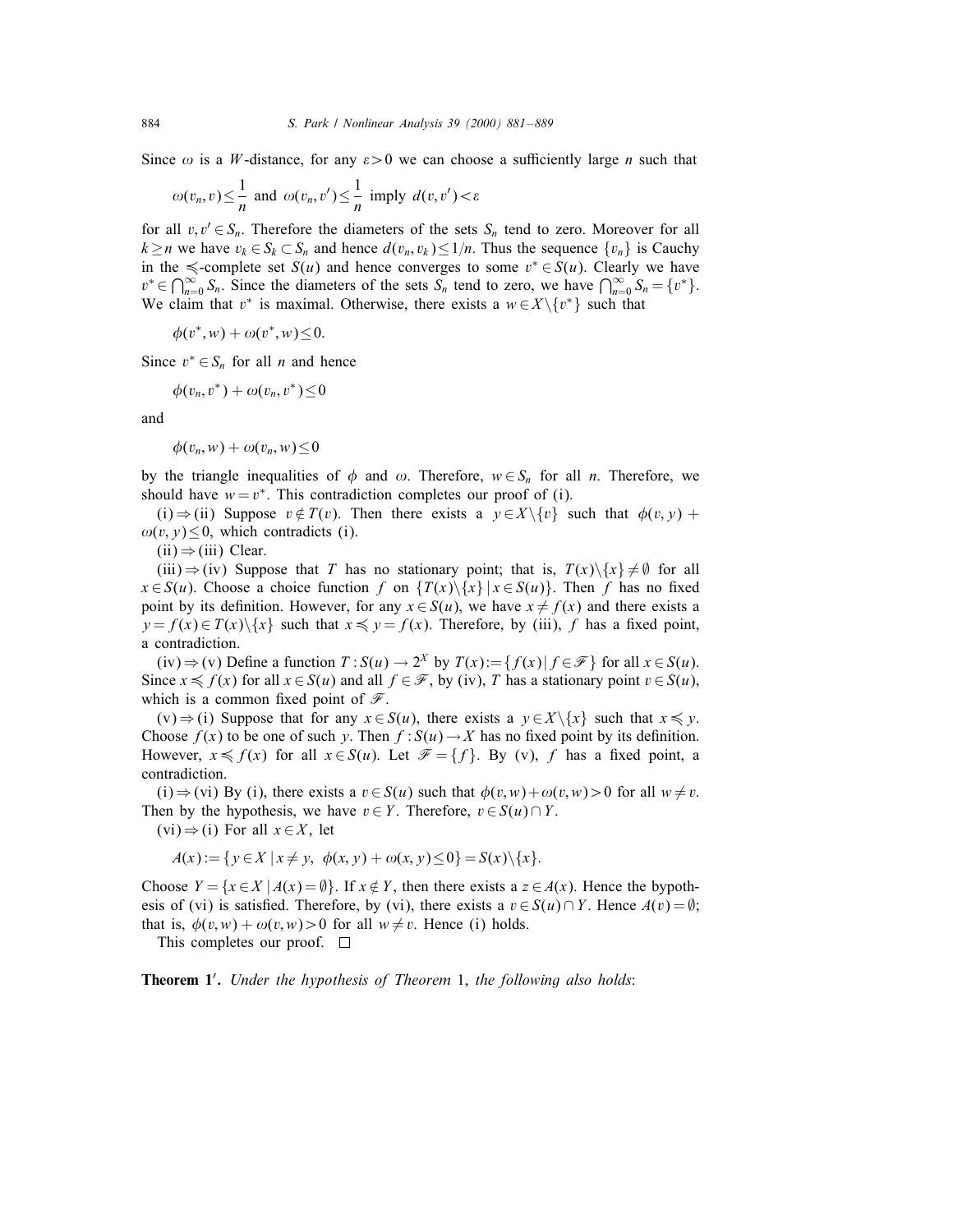Since  $\omega$  is a W-distance, for any  $\varepsilon > 0$  we can choose a sufficiently large n such that

$$
\omega(v_n, v) \leq \frac{1}{n}
$$
 and  $\omega(v_n, v') \leq \frac{1}{n}$  imply  $d(v, v') < \varepsilon$ 

for all  $v, v' \in S_n$ . Therefore the diameters of the sets  $S_n$  tend to zero. Moreover for all  $k \ge n$  we have  $v_k \in S_k \subset S_n$  and hence  $d(v_n, v_k) \le 1/n$ . Thus the sequence  $\{v_n\}$  is Cauchy in the  $\le$ -complete set  $S(u)$  and hence converges to some  $v^* \in S(u)$ . Clearly we have  $v^* \in \bigcap_{n=0}^{\infty} S_n$ . Since the diameters of the sets  $S_n$  tend to zero, we have  $\bigcap_{n=0}^{\infty} S_n = \{v^*\}.$ We claim that v<sup>\*</sup> is maximal. Otherwise, there exists a  $w \in X \setminus \{v^*\}$  such that

 $\phi(v^*, w) + \omega(v^*, w) \leq 0.$ 

Since  $v^* \in S_n$  for all *n* and hence

$$
\phi(v_n,v^*)+\omega(v_n,v^*)\leq 0
$$

and

$$
\phi(v_n, w) + \omega(v_n, w) \leq 0
$$

by the triangle inequalities of  $\phi$  and  $\omega$ . Therefore,  $w \in S_n$  for all n. Therefore, we should have  $w = v^*$ . This contradiction completes our proof of (i).

(i)  $\Rightarrow$  (ii) Suppose  $v \notin T(v)$ . Then there exists a  $v \in X \setminus \{v\}$  such that  $\phi(v, v)$  +  $\omega(v, y) \leq 0$ , which contradicts (i).

 $(ii) \Rightarrow (iii)$  Clear.

(iii)  $\Rightarrow$  (iv) Suppose that T has no stationary point; that is,  $T(x)\$ {x}  $\neq$  Ø for all  $x \in S(u)$ . Choose a choice function f on  $\{T(x)\setminus\{x\} | x \in S(u)\}$ . Then f has no fixed point by its definition. However, for any  $x \in S(u)$ , we have  $x \neq f(x)$  and there exists a  $y = f(x) \in T(x) \setminus \{x\}$  such that  $x \leq y = f(x)$ . Therefore, by (iii), f has a fixed point, a contradiction.

(iv)  $\Rightarrow$  (v) Define a function  $T: S(u) \to 2^X$  by  $T(x) := \{f(x) | f \in \mathcal{F}\}\$  for all  $x \in S(u)$ . Since  $x \le f(x)$  for all  $x \in S(u)$  and all  $f \in \mathcal{F}$ , by (iv), T has a stationary point  $v \in S(u)$ , which is a common fixed point of  $\mathscr{F}$ .

 $(v) \Rightarrow (i)$  Suppose that for any  $x \in S(u)$ , there exists a  $y \in X \setminus \{x\}$  such that  $x \leq y$ . Choose  $f(x)$  to be one of such y. Then  $f: S(u) \to X$  has no fixed point by its definition. However,  $x \leq f(x)$  for all  $x \in S(u)$ . Let  $\mathcal{F} = \{f\}$ . By (v), f has a fixed point, a contradiction.

(i)  $\Rightarrow$  (vi) By (i), there exists a  $v \in S(u)$  such that  $\phi(v, w) + \phi(v, w) > 0$  for all  $w \neq v$ . Then by the hypothesis, we have  $v \in Y$ . Therefore,  $v \in S(u) \cap Y$ .

 $(vi) \Rightarrow (i)$  For all  $x \in X$ , let

$$
A(x) := \{ y \in X \mid x \neq y, \ \phi(x, y) + \omega(x, y) \le 0 \} = S(x) \setminus \{x\}.
$$

Choose  $Y = \{x \in X \mid A(x) = \emptyset\}$ . If  $x \notin Y$ , then there exists a  $z \in A(x)$ . Hence the bypothesis of (vi) is satisfied. Therefore, by (vi), there exists a  $v \in S(u) \cap Y$ . Hence  $A(v) = \emptyset$ ; that is,  $\phi(v, w) + \omega(v, w) > 0$  for all  $w \neq v$ . Hence (i) holds.

This completes our proof.  $\square$ 

Theorem 1'. Under the hypothesis of Theorem 1, the following also holds: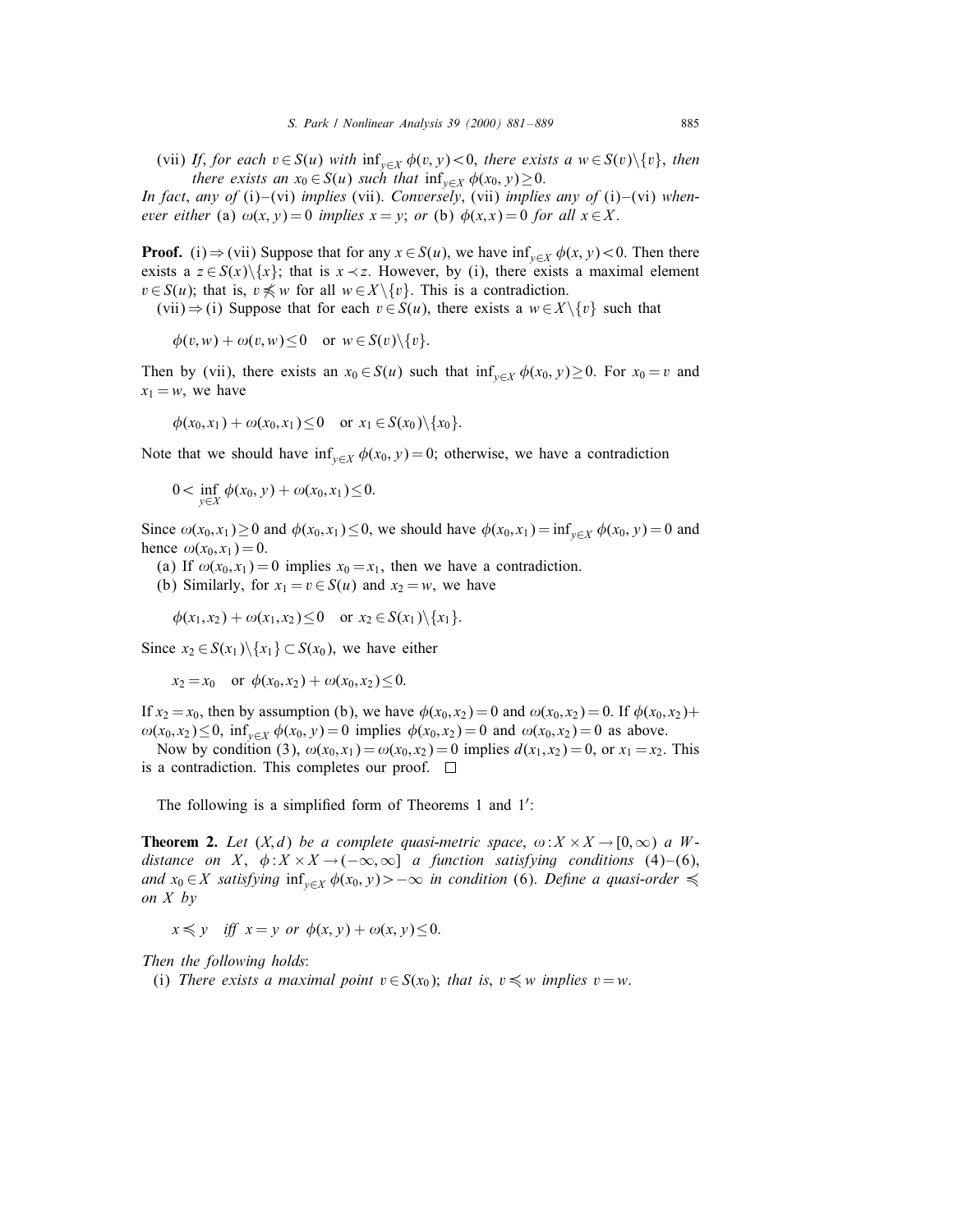(vii) If, for each  $v \in S(u)$  with  $\inf_{v \in X} \phi(v, y) < 0$ , there exists a  $w \in S(v)\setminus \{v\}$ , then there exists an  $x_0 \in S(u)$  such that  $\inf_{y \in X} \phi(x_0, y) \geq 0$ .

In fact, any of (i)–(vi) implies (vii). Conversely, (vii) implies any of (i)–(vi) whenever either (a)  $\omega(x, y) = 0$  implies  $x = y$ ; or (b)  $\phi(x, x) = 0$  for all  $x \in X$ .

**Proof.** (i)  $\Rightarrow$  (vii) Suppose that for any  $x \in S(u)$ , we have  $\inf_{y \in X} \phi(x, y) < 0$ . Then there exists a  $z \in S(x) \setminus \{x\}$ ; that is  $x \prec z$ . However, by (i), there exists a maximal element  $v \in S(u)$ ; that is,  $v \nleq w$  for all  $w \in X \setminus \{v\}$ . This is a contradiction.

 $(vii) \Rightarrow (i)$  Suppose that for each  $v \in S(u)$ , there exists a  $w \in X \setminus \{v\}$  such that

$$
\phi(v, w) + \omega(v, w) \le 0 \quad \text{or } w \in S(v) \setminus \{v\}.
$$

Then by (vii), there exists an  $x_0 \in S(u)$  such that  $\inf_{v \in X} \phi(x_0, y) \ge 0$ . For  $x_0 = v$  and  $x_1 = w$ , we have

$$
\phi(x_0, x_1) + \omega(x_0, x_1) \le 0
$$
 or  $x_1 \in S(x_0) \setminus \{x_0\}.$ 

Note that we should have  $\inf_{y \in X} \phi(x_0, y) = 0$ ; otherwise, we have a contradiction

$$
0 < \inf_{y \in X} \phi(x_0, y) + \omega(x_0, x_1) \leq 0.
$$

Since  $\omega(x_0, x_1) \ge 0$  and  $\phi(x_0, x_1) \le 0$ , we should have  $\phi(x_0, x_1) = \inf_{y \in X} \phi(x_0, y) = 0$  and hence  $\omega(x_0, x_1) = 0$ .

(a) If  $\omega(x_0, x_1) = 0$  implies  $x_0 = x_1$ , then we have a contradiction.

(b) Similarly, for  $x_1 = v \in S(u)$  and  $x_2 = w$ , we have

 $\phi(x_1, x_2) + \omega(x_1, x_2) \leq 0$  or  $x_2 \in S(x_1) \setminus \{x_1\}.$ 

Since  $x_2 \in S(x_1) \setminus \{x_1\} \subset S(x_0)$ , we have either

 $x_2 = x_0$  or  $\phi(x_0, x_2) + \omega(x_0, x_2) \leq 0.$ 

If  $x_2 = x_0$ , then by assumption (b), we have  $\phi(x_0, x_2) = 0$  and  $\omega(x_0, x_2) = 0$ . If  $\phi(x_0, x_2) +$  $\omega(x_0, x_2) \le 0$ ,  $\inf_{y \in X} \phi(x_0, y) = 0$  implies  $\phi(x_0, x_2) = 0$  and  $\omega(x_0, x_2) = 0$  as above.

Now by condition (3),  $\omega(x_0, x_1) = \omega(x_0, x_2) = 0$  implies  $d(x_1, x_2) = 0$ , or  $x_1 = x_2$ . This is a contradiction. This completes our proof.  $\square$ 

The following is a simplified form of Theorems  $1$  and  $1'$ :

**Theorem 2.** Let  $(X,d)$  be a complete quasi-metric space,  $\omega: X \times X \rightarrow [0,\infty)$  a Wdistance on X,  $\phi: X \times X \to (-\infty, \infty]$  a function satisfying conditions (4)-(6), and  $x_0 \in X$  satisfying  $\inf_{y \in X} \phi(x_0, y) > -\infty$  in condition (6). Define a quasi-order  $\preccurlyeq$ on X by

 $x \leq y$  iff  $x = y$  or  $\phi(x, y) + \omega(x, y) \leq 0.$ 

Then the following holds:

(i) There exists a maximal point  $v \in S(x_0)$ ; that is,  $v \leq w$  implies  $v = w$ .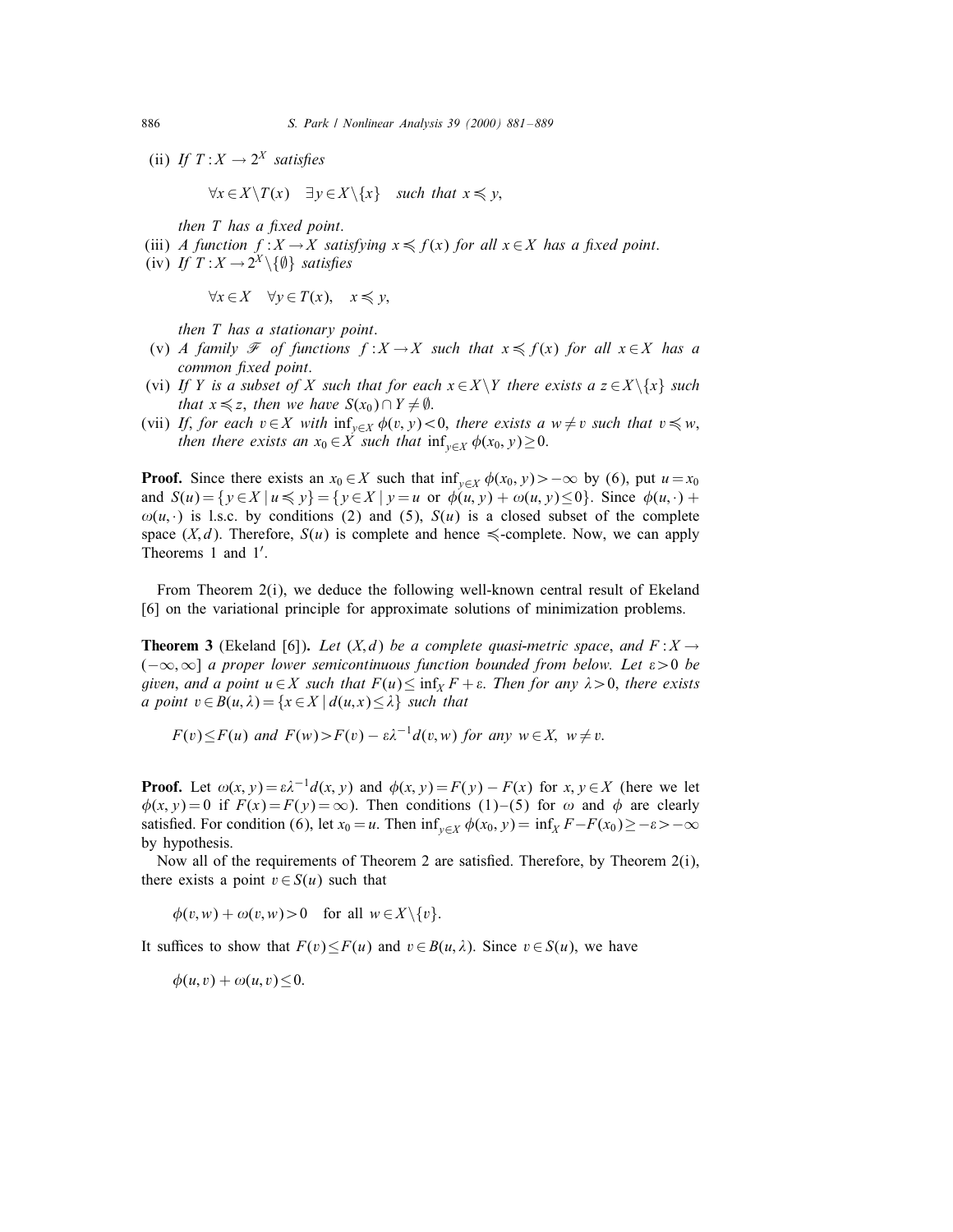(ii) If  $T: X \to 2^X$  satisfies

 $\forall x \in X \setminus T(x) \quad \exists y \in X \setminus \{x\} \quad \text{such that } x \leq y,$ 

then  $T$  has a fixed point.

- (iii) A function  $f: X \to X$  satisfying  $x \leq f(x)$  for all  $x \in X$  has a fixed point.
- (iv) If  $T: X \to 2^X \setminus \{\emptyset\}$  satisfies

$$
\forall x \in X \quad \forall y \in T(x), \quad x \leq y,
$$

then T has a stationary point.

- (v) A family  $\mathcal F$  of functions  $f: X \to X$  such that  $x \leq f(x)$  for all  $x \in X$  has a common fixed point.
- (vi) If Y is a subset of X such that for each  $x \in X \backslash Y$  there exists a  $z \in X \backslash \{x\}$  such that  $x \leq z$ , then we have  $S(x_0) \cap Y \neq \emptyset$ .
- (vii) If, for each  $v \in X$  with  $\inf_{v \in X} \phi(v, y) < 0$ , there exists a  $w \neq v$  such that  $v \leq w$ , then there exists an  $x_0 \in \overline{X}$  such that  $\inf_{y \in X} \phi(x_0, y) \geq 0$ .

**Proof.** Since there exists an  $x_0 \in X$  such that  $\inf_{y \in X} \phi(x_0, y) > -\infty$  by (6), put  $u = x_0$ and  $S(u) = \{y \in X \mid u \leq y\} = \{y \in X \mid y = u \text{ or } \phi(u, y) + \omega(u, y) \leq 0\}$ . Since  $\phi(u, \cdot)$  +  $\omega(u, \cdot)$  is l.s.c. by conditions (2) and (5),  $S(u)$  is a closed subset of the complete space  $(X, d)$ . Therefore,  $S(u)$  is complete and hence  $\leq$ -complete. Now, we can apply Theorems 1 and  $1'$ .

From Theorem 2(i), we deduce the following well-known central result of Ekeland [6] on the variational principle for approximate solutions of minimization problems.

**Theorem 3** (Ekeland [6]). Let  $(X,d)$  be a complete quasi-metric space, and  $F: X \rightarrow Y$  $(-\infty,\infty]$  a proper lower semicontinuous function bounded from below. Let  $\varepsilon > 0$  be given, and a point  $u \in X$  such that  $F(u) \leq \inf_X F + \varepsilon$ . Then for any  $\lambda > 0$ , there exists a point  $v \in B(u, \lambda) = \{x \in X \mid d(u, x) \leq \lambda\}$  such that

 $F(v) \leq F(u)$  and  $F(w) > F(v) - \varepsilon \lambda^{-1} d(v, w)$  for any  $w \in X$ ,  $w \neq v$ .

**Proof.** Let  $\omega(x, y) = \varepsilon \lambda^{-1}d(x, y)$  and  $\phi(x, y) = F(y) - F(x)$  for  $x, y \in X$  (here we let  $\phi(x, y) = 0$  if  $F(x) = F(y) = \infty$ ). Then conditions (1)–(5) for  $\omega$  and  $\phi$  are clearly satisfied. For condition (6), let  $x_0 = u$ . Then  $\inf_{y \in X} \phi(x_0, y) = \inf_{x} F - F(x_0) \ge -\varepsilon > -\infty$ by hypothesis.

Now all of the requirements of Theorem 2 are satisfied. Therefore, by Theorem  $2(i)$ , there exists a point  $v \in S(u)$  such that

$$
\phi(v, w) + \omega(v, w) > 0 \quad \text{for all } w \in X \setminus \{v\}.
$$

It suffices to show that  $F(v) \leq F(u)$  and  $v \in B(u, \lambda)$ . Since  $v \in S(u)$ , we have

 $\phi(u, v) + \omega(u, v) \leq 0.$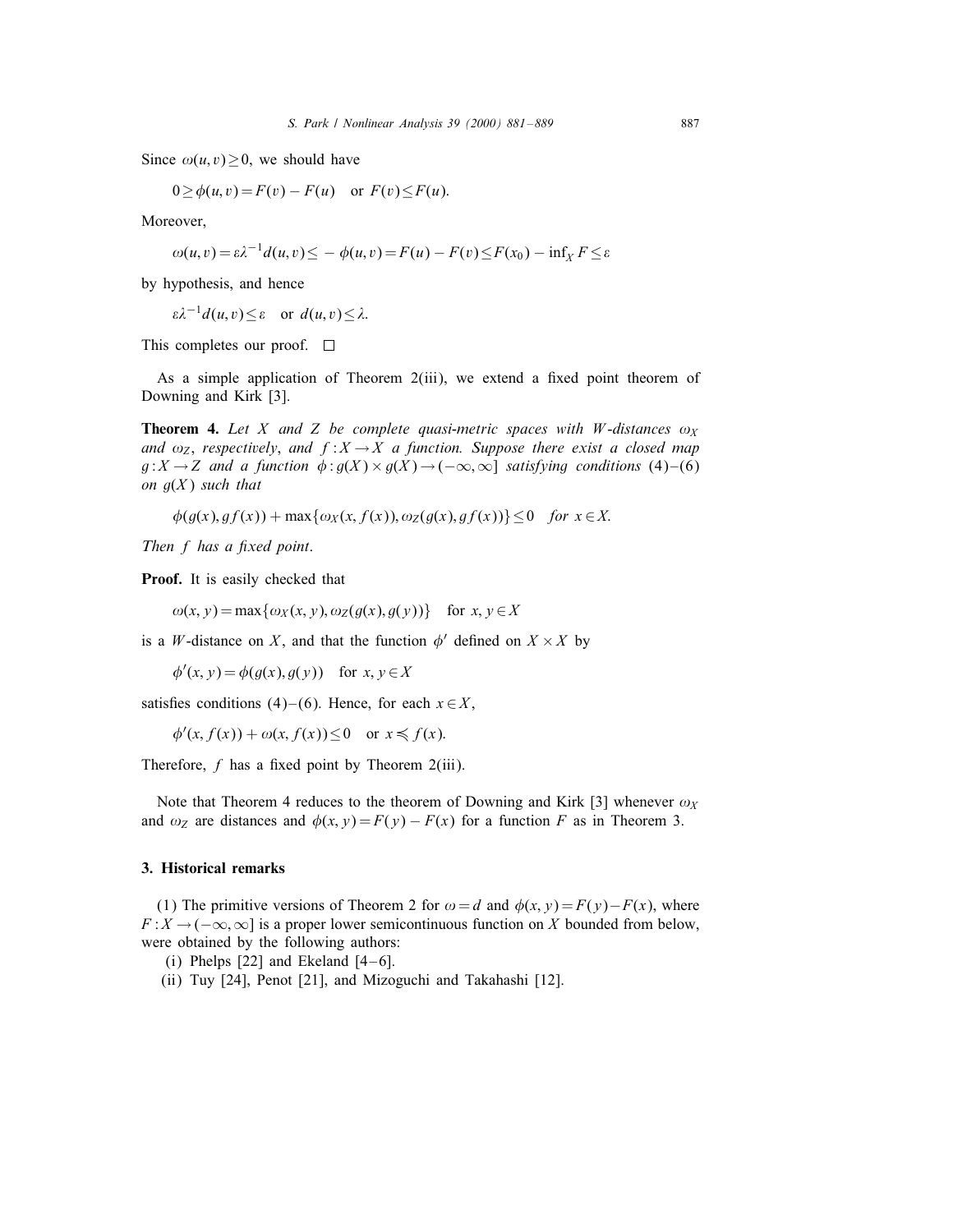Since  $\omega(u, v) \geq 0$ , we should have

$$
0 \ge \phi(u, v) = F(v) - F(u) \quad \text{or } F(v) \le F(u).
$$

Moreover,

$$
\omega(u,v) = \varepsilon \lambda^{-1} d(u,v) \leq -\phi(u,v) = F(u) - F(v) \leq F(x_0) - \inf_X F \leq \varepsilon
$$

by hypothesis, and hence

 $\varepsilon \lambda^{-1} d(u, v) \leq \varepsilon$  or  $d(u, v) \leq \lambda$ .

This completes our proof.  $\square$ 

As a simple application of Theorem  $2(iii)$ , we extend a fixed point theorem of Downing and Kirk [3].

**Theorem 4.** Let X and Z be complete quasi-metric spaces with W-distances  $\omega_X$ and  $\omega_z$ , respectively, and  $f : X \to X$  a function. Suppose there exist a closed map  $g: X \to Z$  and a function  $\phi: g(X) \times g(X) \to (-\infty, \infty]$  satisfying conditions (4)-(6) on  $g(X)$  such that

$$
\phi(g(x), gf(x)) + \max\{\omega_X(x, f(x)), \omega_Z(g(x), gf(x))\} \leq 0 \quad \text{for } x \in X.
$$

Then  $f$  has a fixed point.

Proof. It is easily checked that

 $\omega(x, y) = \max{\{\omega_X(x, y), \omega_Z(g(x), g(y))\}}$  for  $x, y \in X$ 

is a W-distance on X, and that the function  $\phi'$  defined on  $X \times X$  by

 $\phi'(x, y) = \phi(g(x), g(y))$  for  $x, y \in X$ 

satisfies conditions (4)–(6). Hence, for each  $x \in X$ ,

 $\phi'(x, f(x)) + \omega(x, f(x)) \leq 0$  or  $x \leq f(x)$ .

Therefore,  $f$  has a fixed point by Theorem 2(iii).

Note that Theorem 4 reduces to the theorem of Downing and Kirk [3] whenever  $\omega_X$ and  $\omega_z$  are distances and  $\phi(x, y) = F(y) - F(x)$  for a function F as in Theorem 3.

## 3. Historical remarks

(1) The primitive versions of Theorem 2 for  $\omega = d$  and  $\phi(x, y) = F(y) - F(x)$ , where  $F: X \to (-\infty, \infty]$  is a proper lower semicontinuous function on X bounded from below, were obtained by the following authors:

- (i) Phelps  $[22]$  and Ekeland  $[4-6]$ .
- (ii) Tuy [24], Penot [21], and Mizoguchi and Takahashi [12].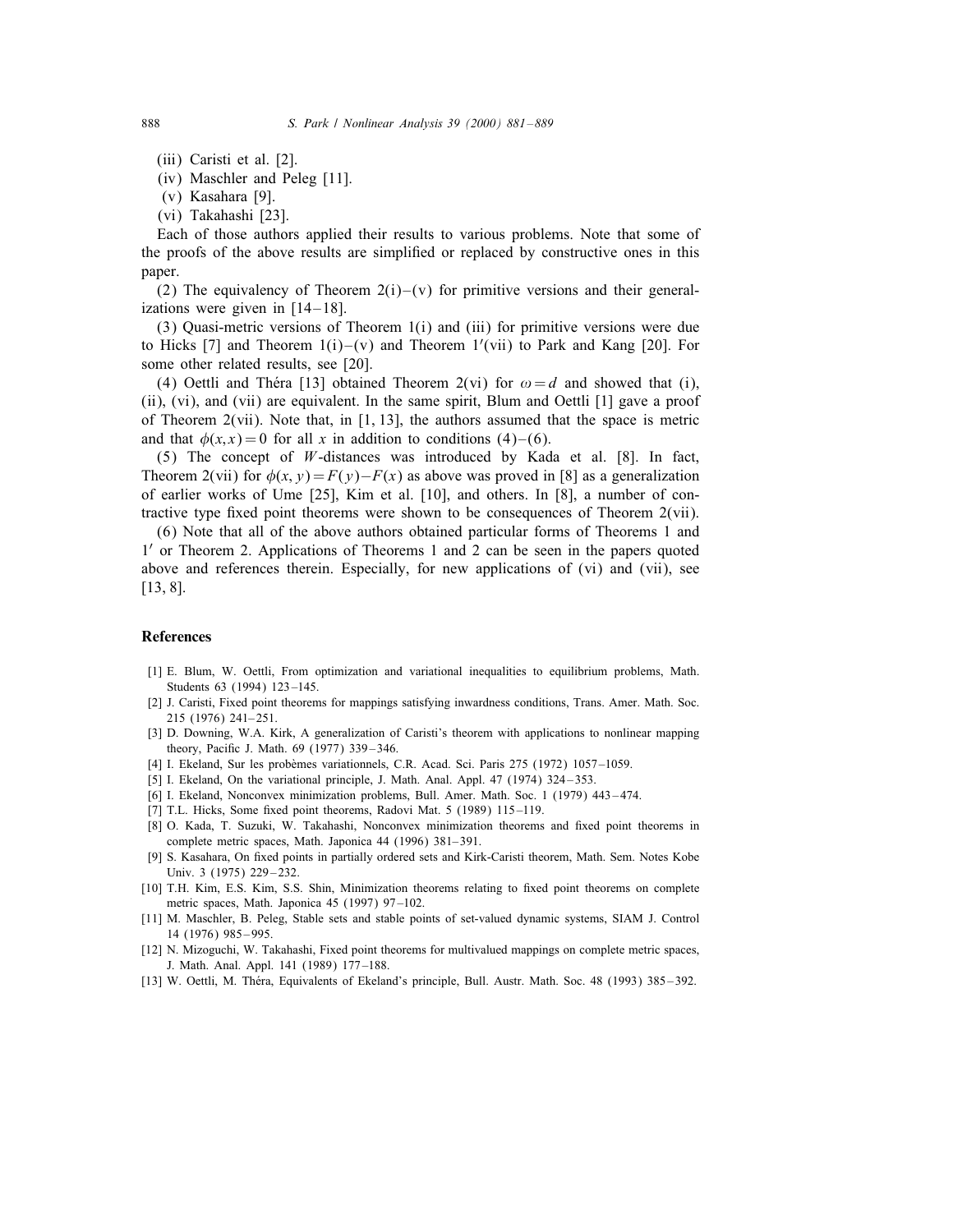- (iii) Caristi et al. [2].
- (iv) Maschler and Peleg [11].
- (v) Kasahara [9].
- (vi) Takahashi [23].

Each of those authors applied their results to various problems. Note that some of the proofs of the above results are simplied or replaced by constructive ones in this paper.

(2) The equivalency of Theorem  $2(i)$  –(v) for primitive versions and their generalizations were given in  $[14-18]$ .

(3) Quasi-metric versions of Theorem 1(i) and (iii) for primitive versions were due to Hicks [7] and Theorem  $1(i)-(v)$  and Theorem  $1'(vii)$  to Park and Kang [20]. For some other related results, see [20].

(4) Oettli and Théra [13] obtained Theorem 2(vi) for  $\omega = d$  and showed that (i), (ii), (vi), and (vii) are equivalent. In the same spirit, Blum and Oettli [1] gave a proof of Theorem  $2(vii)$ . Note that, in [1, 13], the authors assumed that the space is metric and that  $\phi(x, x) = 0$  for all x in addition to conditions (4)–(6).

(5) The concept of *W*-distances was introduced by Kada et al.  $[8]$ . In fact, Theorem 2(vii) for  $\phi(x, y) = F(y) - F(x)$  as above was proved in [8] as a generalization of earlier works of Ume [25], Kim et al. [10], and others. In [8], a number of contractive type fixed point theorems were shown to be consequences of Theorem  $2(vii)$ .

(6) Note that all of the above authors obtained particular forms of Theorems 1 and  $1'$  or Theorem 2. Applications of Theorems 1 and 2 can be seen in the papers quoted above and references therein. Especially, for new applications of (vi) and (vii), see [13, 8].

#### References

- [1] E. Blum, W. Oettli, From optimization and variational inequalities to equilibrium problems, Math. Students 63 (1994) 123-145.
- [2] J. Caristi, Fixed point theorems for mappings satisfying inwardness conditions, Trans. Amer. Math. Soc. 215 (1976) 241– 251.
- [3] D. Downing, W.A. Kirk, A generalization of Caristi's theorem with applications to nonlinear mapping theory, Pacific J. Math. 69 (1977) 339-346.
- [4] I. Ekeland, Sur les probemes variationnels, C.R. Acad. Sci. Paris 275 (1972) 1057 –1059.
- [5] I. Ekeland, On the variational principle, J. Math. Anal. Appl. 47 (1974) 324–353.
- [6] I. Ekeland, Nonconvex minimization problems, Bull. Amer. Math. Soc. 1 (1979) 443 474.
- [7] T.L. Hicks, Some fixed point theorems, Radovi Mat.  $5$  (1989) 115–119.
- [8] O. Kada, T. Suzuki, W. Takahashi, Nonconvex minimization theorems and fixed point theorems in complete metric spaces, Math. Japonica 44 (1996) 381– 391.
- [9] S. Kasahara, On fixed points in partially ordered sets and Kirk-Caristi theorem, Math. Sem. Notes Kobe Univ. 3 (1975) 229-232.
- [10] T.H. Kim, E.S. Kim, S.S. Shin, Minimization theorems relating to fixed point theorems on complete metric spaces, Math. Japonica 45 (1997) 97 –102.
- [11] M. Maschler, B. Peleg, Stable sets and stable points of set-valued dynamic systems, SIAM J. Control 14 (1976) 985 – 995.
- [12] N. Mizoguchi, W. Takahashi, Fixed point theorems for multivalued mappings on complete metric spaces, J. Math. Anal. Appl. 141 (1989) 177 –188.
- [13] W. Oettli, M. Thera, Equivalents of Ekeland's principle, Bull. Austr. Math. Soc. 48 (1993) 385 392.